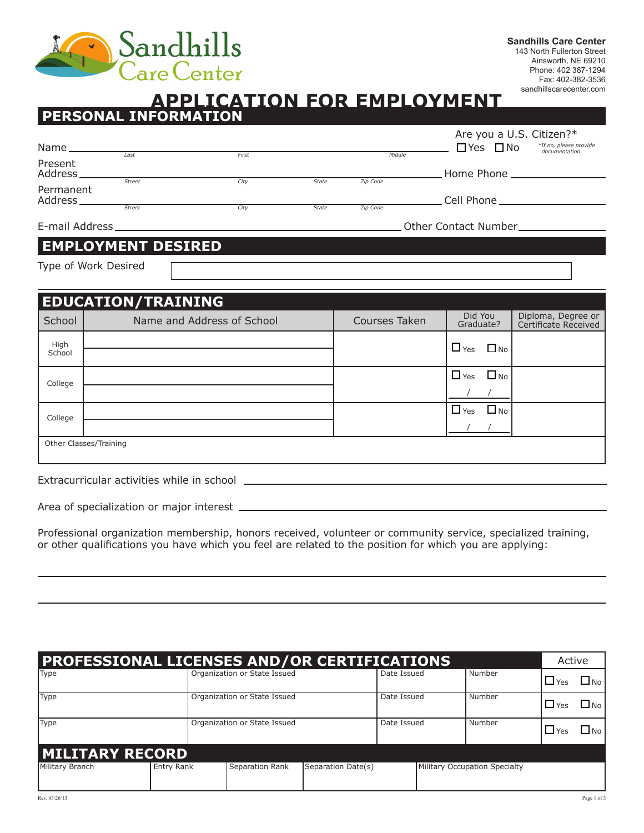

Phone: 402 387-1294 Fax: 402-382-3536 sandhillscarecenter.com

## **APPLICATION FOR EMPLOYMENT PERSONAL INFORMATION**

|                      |               |       |              |          | Are you a U.S. Citizen?*                                        |
|----------------------|---------------|-------|--------------|----------|-----------------------------------------------------------------|
| Name.                |               |       |              |          | *If no, please provide<br>$\Box$ Yes $\Box$ No<br>documentation |
| Present<br>Address.  | Last          | First |              | Middle   | . Home Phone __________________                                 |
| Permanent<br>Address | <b>Street</b> | City  | <b>State</b> | Zip Code | Cell Phone <b>Collection</b>                                    |
|                      | <b>Street</b> | City  | <b>State</b> | Zip Code |                                                                 |
| E-mail Address       |               |       |              |          | Other Contact Number                                            |

## **EMPLOYMENT DESIRED**

Type of Work Desired

|                | <b>EDUCATION/TRAINING</b>  |               |                         |                                            |
|----------------|----------------------------|---------------|-------------------------|--------------------------------------------|
| School         | Name and Address of School | Courses Taken | Did You<br>Graduate?    | Diploma, Degree or<br>Certificate Received |
| High<br>School |                            |               | $\Box$ Yes<br>$\Box$ No |                                            |
|                |                            |               | $\Box$ No<br>$\Box$ Yes |                                            |
| College        |                            |               |                         |                                            |
| College        |                            |               | $\Box$ No<br>$\Box$ Yes |                                            |
|                |                            |               |                         |                                            |
|                | Other Classes/Training     |               |                         |                                            |
|                |                            |               |                         |                                            |

Extracurricular activities while in school

|  | Area of specialization or major interest |  |  |
|--|------------------------------------------|--|--|
|  |                                          |  |  |

Professional organization membership, honors received, volunteer or community service, specialized training, or other qualifications you have which you feel are related to the position for which you are applying:

| <b>PROFESSIONAL LICENSES AND/OR CERTIFICATIONS</b> |            |                              |                 |                    |             |  |                               | Active     |           |
|----------------------------------------------------|------------|------------------------------|-----------------|--------------------|-------------|--|-------------------------------|------------|-----------|
| Type                                               |            | Organization or State Issued |                 |                    | Date Issued |  | Number                        | $\Box$ Yes | $\Box$ No |
| Type                                               |            | Organization or State Issued |                 |                    | Date Issued |  | Number                        | $\Box$ Yes | $\Box$ No |
| Type                                               |            | Organization or State Issued |                 |                    | Date Issued |  | Number                        | $\Box$ Yes | $\Box$ No |
| <b>MILITARY RECORD</b>                             |            |                              |                 |                    |             |  |                               |            |           |
| Military Branch                                    | Entry Rank |                              | Separation Rank | Separation Date(s) |             |  | Military Occupation Specialty |            |           |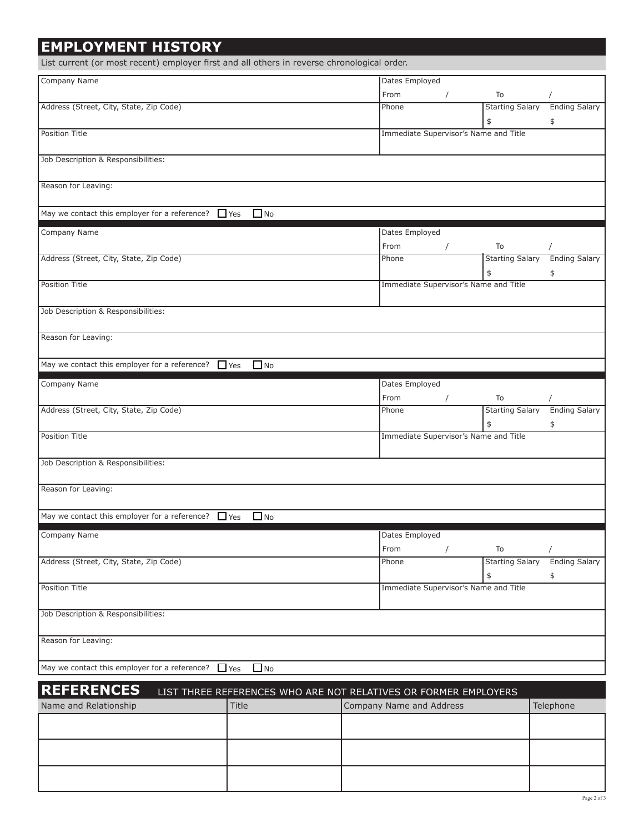| <b>EMPLOYMENT HISTORY</b>                                                                   |                                                                 |                                       |            |                              |                            |
|---------------------------------------------------------------------------------------------|-----------------------------------------------------------------|---------------------------------------|------------|------------------------------|----------------------------|
| List current (or most recent) employer first and all others in reverse chronological order. |                                                                 |                                       |            |                              |                            |
| Company Name                                                                                |                                                                 | Dates Employed                        |            |                              |                            |
|                                                                                             |                                                                 | From                                  | $\prime$   | To                           |                            |
| Address (Street, City, State, Zip Code)                                                     |                                                                 | Phone                                 |            | <b>Starting Salary</b><br>\$ | <b>Ending Salary</b><br>\$ |
| <b>Position Title</b>                                                                       |                                                                 | Immediate Supervisor's Name and Title |            |                              |                            |
| Job Description & Responsibilities:                                                         |                                                                 |                                       |            |                              |                            |
| Reason for Leaving:                                                                         |                                                                 |                                       |            |                              |                            |
| May we contact this employer for a reference? $\Box$ Yes                                    | $\Box$ No                                                       |                                       |            |                              |                            |
| Company Name                                                                                |                                                                 | Dates Employed                        |            |                              |                            |
|                                                                                             |                                                                 | From                                  | $\sqrt{2}$ | To                           |                            |
| Address (Street, City, State, Zip Code)                                                     |                                                                 | Phone                                 |            | <b>Starting Salary</b><br>\$ | <b>Ending Salary</b>       |
| <b>Position Title</b>                                                                       |                                                                 | Immediate Supervisor's Name and Title |            |                              | \$                         |
| Job Description & Responsibilities:                                                         |                                                                 |                                       |            |                              |                            |
| Reason for Leaving:                                                                         |                                                                 |                                       |            |                              |                            |
| May we contact this employer for a reference? $\Box$ Yes                                    | $\Box$ No                                                       |                                       |            |                              |                            |
|                                                                                             |                                                                 |                                       |            |                              |                            |
| Company Name                                                                                |                                                                 | Dates Employed<br>From                |            | To                           |                            |
| Address (Street, City, State, Zip Code)                                                     |                                                                 | Phone                                 | $\sqrt{2}$ | <b>Starting Salary</b>       | <b>Ending Salary</b>       |
|                                                                                             |                                                                 |                                       |            | \$                           | \$                         |
| <b>Position Title</b>                                                                       |                                                                 | Immediate Supervisor's Name and Title |            |                              |                            |
| Job Description & Responsibilities:                                                         |                                                                 |                                       |            |                              |                            |
| Reason for Leaving:                                                                         |                                                                 |                                       |            |                              |                            |
| May we contact this employer for a reference? $\Box$ Yes                                    | $\Box$ No                                                       |                                       |            |                              |                            |
| Company Name                                                                                |                                                                 | Dates Employed                        |            |                              |                            |
|                                                                                             |                                                                 | From                                  | $\sqrt{2}$ | To                           |                            |
| Address (Street, City, State, Zip Code)                                                     |                                                                 | Phone                                 |            | <b>Starting Salary</b>       | <b>Ending Salary</b>       |
|                                                                                             |                                                                 |                                       |            | \$                           | \$                         |
| <b>Position Title</b>                                                                       |                                                                 | Immediate Supervisor's Name and Title |            |                              |                            |
| Job Description & Responsibilities:                                                         |                                                                 |                                       |            |                              |                            |
| Reason for Leaving:                                                                         |                                                                 |                                       |            |                              |                            |
| May we contact this employer for a reference?                                               | $\Box$ No<br>$\Box$ Yes                                         |                                       |            |                              |                            |
| <b>REFERENCES</b>                                                                           | LIST THREE REFERENCES WHO ARE NOT RELATIVES OR FORMER EMPLOYERS |                                       |            |                              |                            |
| Name and Relationship                                                                       | Title                                                           | Company Name and Address              |            |                              | Telephone                  |
|                                                                                             |                                                                 |                                       |            |                              |                            |
|                                                                                             |                                                                 |                                       |            |                              |                            |
|                                                                                             |                                                                 |                                       |            |                              |                            |